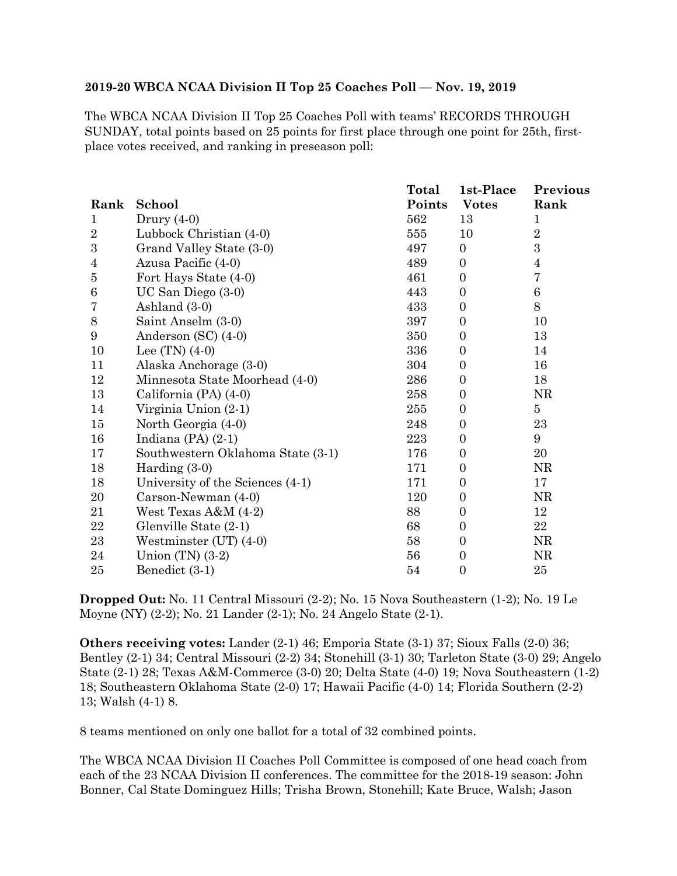## **2019-20 WBCA NCAA Division II Top 25 Coaches Poll — Nov. 19, 2019**

The WBCA NCAA Division II Top 25 Coaches Poll with teams' RECORDS THROUGH SUNDAY, total points based on 25 points for first place through one point for 25th, firstplace votes received, and ranking in preseason poll:

|                  |                                   | Total  | 1st-Place        | Previous         |
|------------------|-----------------------------------|--------|------------------|------------------|
| Rank             | School                            | Points | <b>Votes</b>     | Rank             |
| 1                | Drury $(4-0)$                     | 562    | 13               | 1                |
| $\overline{2}$   | Lubbock Christian (4-0)           | 555    | 10               | $\overline{2}$   |
| $\boldsymbol{3}$ | Grand Valley State (3-0)          | 497    | $\overline{0}$   | $\boldsymbol{3}$ |
| 4                | Azusa Pacific (4-0)               | 489    | $\Omega$         | $\overline{4}$   |
| 5                | Fort Hays State (4-0)             | 461    | $\Omega$         | $\bf 7$          |
| $\,6$            | UC San Diego (3-0)                | 443    | $\Omega$         | $\boldsymbol{6}$ |
| 7                | Ashland (3-0)                     | 433    | $\boldsymbol{0}$ | $8\,$            |
| $8\,$            | Saint Anselm (3-0)                | 397    | $\Omega$         | 10               |
| 9                | Anderson $(SC)$ $(4-0)$           | 350    | $\Omega$         | 13               |
| 10               | Lee $(TN)$ $(4-0)$                | 336    | $\overline{0}$   | 14               |
| 11               | Alaska Anchorage (3-0)            | 304    | $\overline{0}$   | 16               |
| 12               | Minnesota State Moorhead (4-0)    | 286    | $\overline{0}$   | 18               |
| 13               | California (PA) (4-0)             | 258    | $\overline{0}$   | <b>NR</b>        |
| 14               | Virginia Union (2-1)              | 255    | $\Omega$         | $\overline{5}$   |
| 15               | North Georgia (4-0)               | 248    | $\overline{0}$   | 23               |
| 16               | Indiana $(PA)$ $(2-1)$            | 223    | $\overline{0}$   | 9                |
| 17               | Southwestern Oklahoma State (3-1) | 176    | $\overline{0}$   | 20               |
| 18               | Harding $(3-0)$                   | 171    | $\Omega$         | <b>NR</b>        |
| 18               | University of the Sciences (4-1)  | 171    | $\Omega$         | 17               |
| 20               | Carson-Newman (4-0)               | 120    | $\overline{0}$   | NR               |
| 21               | West Texas A&M (4-2)              | 88     | $\Omega$         | 12               |
| 22               | Glenville State (2-1)             | 68     | $\overline{0}$   | 22               |
| 23               | Westminster $(UT)$ $(4-0)$        | 58     | $\overline{0}$   | NR               |
| 24               | Union $(TN)$ $(3-2)$              | 56     | $\overline{0}$   | NR               |
| 25               | Benedict (3-1)                    | 54     | $\boldsymbol{0}$ | 25               |

**Dropped Out:** No. 11 Central Missouri (2-2); No. 15 Nova Southeastern (1-2); No. 19 Le Moyne (NY) (2-2); No. 21 Lander (2-1); No. 24 Angelo State (2-1).

**Others receiving votes:** Lander (2-1) 46; Emporia State (3-1) 37; Sioux Falls (2-0) 36; Bentley (2-1) 34; Central Missouri (2-2) 34; Stonehill (3-1) 30; Tarleton State (3-0) 29; Angelo State (2-1) 28; Texas A&M-Commerce (3-0) 20; Delta State (4-0) 19; Nova Southeastern (1-2) 18; Southeastern Oklahoma State (2-0) 17; Hawaii Pacific (4-0) 14; Florida Southern (2-2) 13; Walsh (4-1) 8.

8 teams mentioned on only one ballot for a total of 32 combined points.

The WBCA NCAA Division II Coaches Poll Committee is composed of one head coach from each of the 23 NCAA Division II conferences. The committee for the 2018-19 season: John Bonner, Cal State Dominguez Hills; Trisha Brown, Stonehill; Kate Bruce, Walsh; Jason